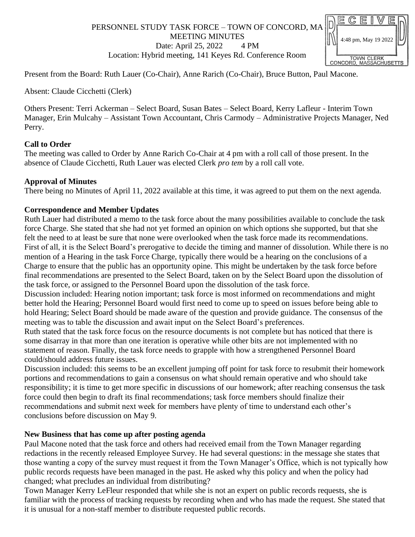# PERSONNEL STUDY TASK FORCE – TOWN OF CONCORD, MA MEETING MINUTES Date: April 25, 2022 4 PM Location: Hybrid meeting, 141 Keyes Rd. Conference Room



Present from the Board: Ruth Lauer (Co-Chair), Anne Rarich (Co-Chair), Bruce Button, Paul Macone.

Absent: Claude Cicchetti (Clerk)

Others Present: Terri Ackerman – Select Board, Susan Bates – Select Board, Kerry Lafleur - Interim Town Manager, Erin Mulcahy – Assistant Town Accountant, Chris Carmody – Administrative Projects Manager, Ned Perry.

### **Call to Order**

The meeting was called to Order by Anne Rarich Co-Chair at 4 pm with a roll call of those present. In the absence of Claude Cicchetti, Ruth Lauer was elected Clerk *pro tem* by a roll call vote.

### **Approval of Minutes**

There being no Minutes of April 11, 2022 available at this time, it was agreed to put them on the next agenda.

## **Correspondence and Member Updates**

Ruth Lauer had distributed a memo to the task force about the many possibilities available to conclude the task force Charge. She stated that she had not yet formed an opinion on which options she supported, but that she felt the need to at least be sure that none were overlooked when the task force made its recommendations. First of all, it is the Select Board's prerogative to decide the timing and manner of dissolution. While there is no mention of a Hearing in the task Force Charge, typically there would be a hearing on the conclusions of a Charge to ensure that the public has an opportunity opine. This might be undertaken by the task force before final recommendations are presented to the Select Board, taken on by the Select Board upon the dissolution of the task force, or assigned to the Personnel Board upon the dissolution of the task force.

Discussion included: Hearing notion important; task force is most informed on recommendations and might better hold the Hearing; Personnel Board would first need to come up to speed on issues before being able to hold Hearing; Select Board should be made aware of the question and provide guidance. The consensus of the meeting was to table the discussion and await input on the Select Board's preferences.

Ruth stated that the task force focus on the resource documents is not complete but has noticed that there is some disarray in that more than one iteration is operative while other bits are not implemented with no statement of reason. Finally, the task force needs to grapple with how a strengthened Personnel Board could/should address future issues.

Discussion included: this seems to be an excellent jumping off point for task force to resubmit their homework portions and recommendations to gain a consensus on what should remain operative and who should take responsibility; it is time to get more specific in discussions of our homework; after reaching consensus the task force could then begin to draft its final recommendations; task force members should finalize their recommendations and submit next week for members have plenty of time to understand each other's conclusions before discussion on May 9.

#### **New Business that has come up after posting agenda**

Paul Macone noted that the task force and others had received email from the Town Manager regarding redactions in the recently released Employee Survey. He had several questions: in the message she states that those wanting a copy of the survey must request it from the Town Manager's Office, which is not typically how public records requests have been managed in the past. He asked why this policy and when the policy had changed; what precludes an individual from distributing?

Town Manager Kerry LeFleur responded that while she is not an expert on public records requests, she is familiar with the process of tracking requests by recording when and who has made the request. She stated that it is unusual for a non-staff member to distribute requested public records.